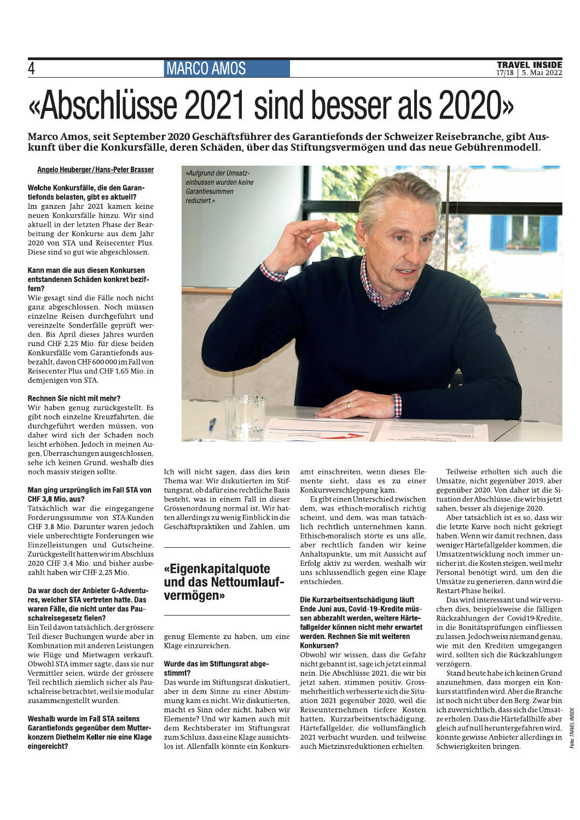## **MARCO AMOS**

# «Abschlüsse 2021 sind besser als 2020»

Marco Amos, seit September 2020 Geschäftsführer des Garantiefonds der Schweizer Reisebranche, gibt Auskunft über die Konkursfälle, deren Schäden, über das Stiftungsvermögen und das neue Gebührenmodell.

#### Angelo Heuberger / Hans-Peter Brasser

Welche Konkursfälle, die den Garantiefonds belasten, gibt es aktuell? Im ganzen Jahr 2021 kamen keine neuen Konkursfälle hinzu. Wir sind aktuell in der letzten Phase der Bearbeitung der Konkurse aus dem Jahr 2020 von STA und Reisecenter Plus. Diese sind so gut wie abgeschlossen.

#### Kann man die aus diesen Konkursen entstandenen Schäden konkret beziffern?

Wie gesagt sind die Fälle noch nicht ganz abgeschlossen. Noch müssen einzelne Reisen durchgeführt und vereinzelte Sonderfälle geprüft werden. Bis April dieses Jahres wurden rund CHF 2,25 Mio. für diese beiden Konkursfälle vom Garantiefonds ausbezahlt, davon CHF 600 000 im Fall von Reisecenter Plus und CHF 1,65 Mio. in demjenigen von STA.

#### Rechnen Sie nicht mit mehr?

Wir haben genug zurückgestellt. Es gibt noch einzelne Kreuzfahrten, die durchgeführt werden müssen, von daher wird sich der Schaden noch leicht erhöhen. Jedoch in meinen Augen, Überraschungen ausgeschlossen, sehe ich keinen Grund, weshalb dies noch massiv steigen sollte.

#### Man ging ursprünglich im Fall STA von CHF 3.8 Mio. aus?

Tatsächlich war die eingegangene Forderungssumme von STA-Kunden CHF 3,8 Mio. Darunter waren jedoch viele unberechtigte Forderungen wie Einzelleistungen und Gutscheine. Zurückgestellt hatten wir im Abschluss 2020 CHF 3,4 Mio. und bisher ausbezahlt haben wir CHF 2.25 Mio.

#### Da war doch der Anbieter G-Adventures, welcher STA vertreten hatte. Das waren Fälle, die nicht unter das Pauschalreisegesetz fielen?

Ein Teil davon tatsächlich, der grössere Teil dieser Buchungen wurde aber in Kombination mit anderen Leistungen wie Flüge und Mietwagen verkauft. Obwohl STA immer sagte, dass sie nur Vermittler seien, würde der grössere Teil rechtlich ziemlich sicher als Pauschalreise betrachtet, weil sie modular zusammengestellt wurden.

Weshalb wurde im Fall STA seitens Garantiefonds gegenüber dem Mutterkonzern Diethelm Keller nie eine Klage eingereicht?

Ich will nicht sagen, dass dies kein Thema war. Wir diskutierten im Stiftungsrat, ob dafür eine rechtliche Basis besteht, was in einem Fall in dieser Grössenordnung normal ist. Wir hatten allerdings zu wenig Einblick in die Geschäftspraktiken und Zahlen, um

### «Eigenkapitalquote und das Nettoumlaufvermögen»

genug Elemente zu haben, um eine Klage einzureichen.

#### Wurde das im Stiftungsrat abgestimmt?

Das wurde im Stiftungsrat diskutiert, aber in dem Sinne zu einer Abstimmung kam es nicht. Wir diskutierten. macht es Sinn oder nicht, haben wir Elemente? Und wir kamen auch mit dem Rechtsberater im Stiftungsrat zum Schluss, dass eine Klage aussichtslos ist. Allenfalls könnte ein Konkursamt einschreiten, wenn dieses Elemente sieht, dass es zu einer Konkursverschleppung kam.

Es gibt einen Unterschied zwischen dem, was ethisch-moralisch richtig scheint, und dem, was man tatsächlich rechtlich unternehmen kann. Ethisch-moralisch störte es uns alle, aber rechtlich fanden wir keine Anhaltspunkte, um mit Aussicht auf Erfolg aktiv zu werden, weshalb wir uns schlussendlich gegen eine Klage entschieden.

#### Die Kurzarbeitsentschädigung läuft Ende Juni aus, Covid-19-Kredite müssen abbezahlt werden, weitere Härtefallgelder können nicht mehr erwartet werden. Rechnen Sie mit weiteren Konkursen?

Obwohl wir wissen, dass die Gefahr nicht gebannt ist, sage ich jetzt einmal nein. Die Abschlüsse 2021, die wir bis jetzt sahen, stimmen positiv. Grossmehrheitlich verbesserte sich die Situation 2021 gegenüber 2020, weil die Reiseunternehmen tiefere Kosten hatten, Kurzarbeitsentschädigung, Härtefallgelder, die vollumfänglich 2021 verbucht wurden, und teilweise auch Mietzinsreduktionen erhielten.

Teilweise erholten sich auch die Umsätze, nicht gegenüber 2019, aber gegenüber 2020. Von daher ist die Situation der Abschlüsse, die wir bis jetzt sahen, besser als diejenige 2020.

Aber tatsächlich ist es so, dass wir die letzte Kurve noch nicht gekriegt haben. Wenn wir damit rechnen, dass weniger Härtefallgelder kommen, die Umsatzentwicklung noch immer unsicher ist, die Kosten steigen, weil mehr Personal benötigt wird, um den die Umsätze zu generieren, dann wird die Restart-Phase heikel.

Das wird interessant und wir versuchen dies, beispielsweise die fälligen Rückzahlungen der Covid19-Kredite, in die Bonitätsprüfungen einfliessen zu lassen. Jedoch weiss niemand genau, wie mit den Krediten umgegangen wird, sollten sich die Rückzahlungen verzögern.

Stand heute habe ich keinen Grund anzunehmen, dass morgen ein Konkurs stattfinden wird. Aber die Branche ist noch nicht über den Berg. Zwar bin ich zuversichtlich, dass sich die Umsätze erholen. Dass die Härtefallhilfe aber gleich auf null heruntergefahren wird, könnte gewisse Anbieter allerdings in Schwierigkeiten bringen.



 $\overline{4}$